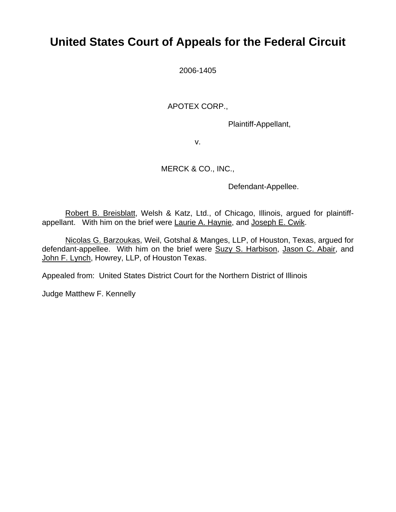## **United States Court of Appeals for the Federal Circuit**

2006-1405

APOTEX CORP.,

Plaintiff-Appellant,

v.

### MERCK & CO., INC.,

Defendant-Appellee.

Robert B. Breisblatt, Welsh & Katz, Ltd., of Chicago, Illinois, argued for plaintiffappellant. With him on the brief were Laurie A. Haynie, and Joseph E. Cwik.

Nicolas G. Barzoukas, Weil, Gotshal & Manges, LLP, of Houston, Texas, argued for defendant-appellee. With him on the brief were Suzy S. Harbison, Jason C. Abair, and John F. Lynch, Howrey, LLP, of Houston Texas.

Appealed from: United States District Court for the Northern District of Illinois

Judge Matthew F. Kennelly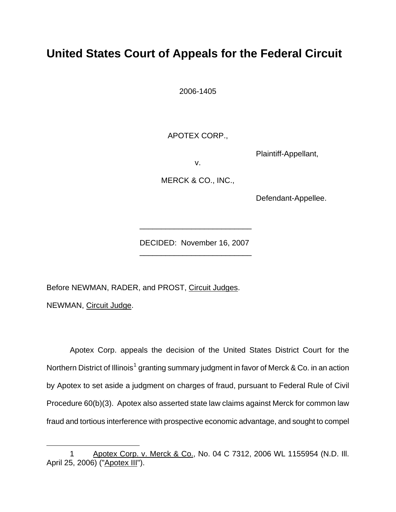# **United States Court of Appeals for the Federal Circuit**

2006-1405

APOTEX CORP.,

Plaintiff-Appellant,

v.

MERCK & CO., INC.,

Defendant-Appellee.

DECIDED: November 16, 2007 \_\_\_\_\_\_\_\_\_\_\_\_\_\_\_\_\_\_\_\_\_\_\_\_\_\_

\_\_\_\_\_\_\_\_\_\_\_\_\_\_\_\_\_\_\_\_\_\_\_\_\_\_

Before NEWMAN, RADER, and PROST, Circuit Judges.

NEWMAN, Circuit Judge.

1

Apotex Corp. appeals the decision of the United States District Court for the Northern District of Illinois<sup>[1](#page-1-0)</sup> granting summary judgment in favor of Merck & Co. in an action by Apotex to set aside a judgment on charges of fraud, pursuant to Federal Rule of Civil Procedure 60(b)(3). Apotex also asserted state law claims against Merck for common law fraud and tortious interference with prospective economic advantage, and sought to compel

<span id="page-1-0"></span><sup>1</sup> Apotex Corp. v. Merck & Co., No. 04 C 7312, 2006 WL 1155954 (N.D. III. April 25, 2006) ("Apotex III").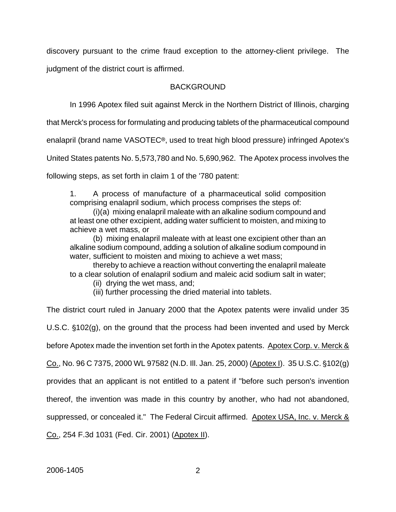discovery pursuant to the crime fraud exception to the attorney-client privilege. The judgment of the district court is affirmed.

#### **BACKGROUND**

In 1996 Apotex filed suit against Merck in the Northern District of Illinois, charging

that Merck's process for formulating and producing tablets of the pharmaceutical compound

enalapril (brand name VASOTEC<sup>®</sup>, used to treat high blood pressure) infringed Apotex's

United States patents No. 5,573,780 and No. 5,690,962. The Apotex process involves the

following steps, as set forth in claim 1 of the '780 patent:

1. A process of manufacture of a pharmaceutical solid composition comprising enalapril sodium, which process comprises the steps of:

(i)(a) mixing enalapril maleate with an alkaline sodium compound and at least one other excipient, adding water sufficient to moisten, and mixing to achieve a wet mass, or

(b) mixing enalapril maleate with at least one excipient other than an alkaline sodium compound, adding a solution of alkaline sodium compound in water, sufficient to moisten and mixing to achieve a wet mass;

 thereby to achieve a reaction without converting the enalapril maleate to a clear solution of enalapril sodium and maleic acid sodium salt in water;

(ii) drying the wet mass, and;

(iii) further processing the dried material into tablets.

The district court ruled in January 2000 that the Apotex patents were invalid under 35

U.S.C.  $$102(q)$ , on the ground that the process had been invented and used by Merck

before Apotex made the invention set forth in the Apotex patents. Apotex Corp. v. Merck &

Co., No. 96 C 7375, 2000 WL 97582 (N.D. Ill. Jan. 25, 2000) (Apotex I). 35 U.S.C. '102(g)

provides that an applicant is not entitled to a patent if "before such person's invention

thereof, the invention was made in this country by another, who had not abandoned,

suppressed, or concealed it." The Federal Circuit affirmed. Apotex USA, Inc. v. Merck &

Co., 254 F.3d 1031 (Fed. Cir. 2001) (Apotex II).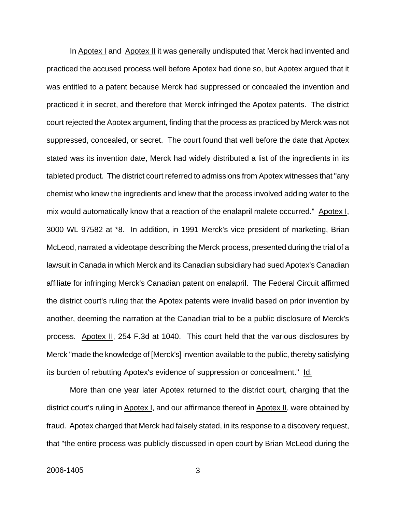In Apotex I and Apotex II it was generally undisputed that Merck had invented and practiced the accused process well before Apotex had done so, but Apotex argued that it was entitled to a patent because Merck had suppressed or concealed the invention and practiced it in secret, and therefore that Merck infringed the Apotex patents. The district court rejected the Apotex argument, finding that the process as practiced by Merck was not suppressed, concealed, or secret. The court found that well before the date that Apotex stated was its invention date, Merck had widely distributed a list of the ingredients in its tableted product. The district court referred to admissions from Apotex witnesses that "any chemist who knew the ingredients and knew that the process involved adding water to the mix would automatically know that a reaction of the enalapril malete occurred." Apotex I, 3000 WL 97582 at \*8. In addition, in 1991 Merck's vice president of marketing, Brian McLeod, narrated a videotape describing the Merck process, presented during the trial of a lawsuit in Canada in which Merck and its Canadian subsidiary had sued Apotex's Canadian affiliate for infringing Merck's Canadian patent on enalapril. The Federal Circuit affirmed the district court's ruling that the Apotex patents were invalid based on prior invention by another, deeming the narration at the Canadian trial to be a public disclosure of Merck's process. Apotex II, 254 F.3d at 1040. This court held that the various disclosures by Merck "made the knowledge of [Merck's] invention available to the public, thereby satisfying its burden of rebutting Apotex's evidence of suppression or concealment." Id.

More than one year later Apotex returned to the district court, charging that the district court's ruling in Apotex I, and our affirmance thereof in Apotex II, were obtained by fraud. Apotex charged that Merck had falsely stated, in its response to a discovery request, that "the entire process was publicly discussed in open court by Brian McLeod during the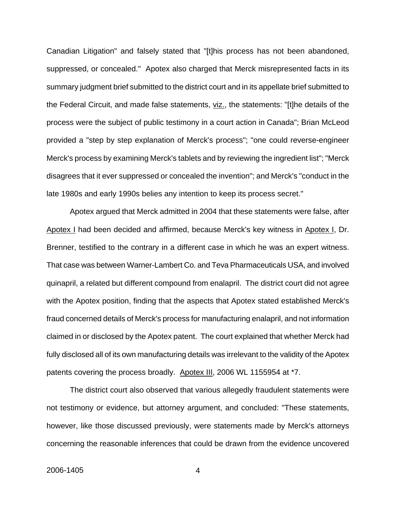Canadian Litigation" and falsely stated that "[t]his process has not been abandoned, suppressed, or concealed." Apotex also charged that Merck misrepresented facts in its summary judgment brief submitted to the district court and in its appellate brief submitted to the Federal Circuit, and made false statements, viz., the statements: "[t]he details of the process were the subject of public testimony in a court action in Canada"; Brian McLeod provided a "step by step explanation of Merck's process"; "one could reverse-engineer Merck's process by examining Merck's tablets and by reviewing the ingredient list"; "Merck disagrees that it ever suppressed or concealed the invention"; and Merck's "conduct in the late 1980s and early 1990s belies any intention to keep its process secret."

Apotex argued that Merck admitted in 2004 that these statements were false, after Apotex I had been decided and affirmed, because Merck's key witness in Apotex I, Dr. Brenner, testified to the contrary in a different case in which he was an expert witness. That case was between Warner-Lambert Co. and Teva Pharmaceuticals USA, and involved quinapril, a related but different compound from enalapril. The district court did not agree with the Apotex position, finding that the aspects that Apotex stated established Merck's fraud concerned details of Merck's process for manufacturing enalapril, and not information claimed in or disclosed by the Apotex patent. The court explained that whether Merck had fully disclosed all of its own manufacturing details was irrelevant to the validity of the Apotex patents covering the process broadly. Apotex III, 2006 WL 1155954 at \*7.

The district court also observed that various allegedly fraudulent statements were not testimony or evidence, but attorney argument, and concluded: "These statements, however, like those discussed previously, were statements made by Merck's attorneys concerning the reasonable inferences that could be drawn from the evidence uncovered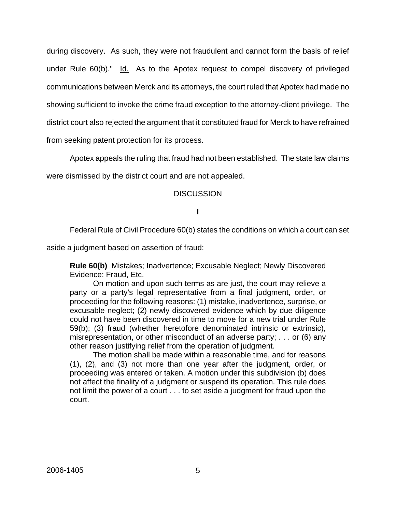during discovery. As such, they were not fraudulent and cannot form the basis of relief under Rule 60(b)." Id. As to the Apotex request to compel discovery of privileged communications between Merck and its attorneys, the court ruled that Apotex had made no showing sufficient to invoke the crime fraud exception to the attorney-client privilege. The district court also rejected the argument that it constituted fraud for Merck to have refrained from seeking patent protection for its process.

Apotex appeals the ruling that fraud had not been established. The state law claims

were dismissed by the district court and are not appealed.

#### **DISCUSSION**

#### **I**

Federal Rule of Civil Procedure 60(b) states the conditions on which a court can set

aside a judgment based on assertion of fraud:

**Rule 60(b)** Mistakes; Inadvertence; Excusable Neglect; Newly Discovered Evidence; Fraud, Etc.

On motion and upon such terms as are just, the court may relieve a party or a party's legal representative from a final judgment, order, or proceeding for the following reasons: (1) mistake, inadvertence, surprise, or excusable neglect; (2) newly discovered evidence which by due diligence could not have been discovered in time to move for a new trial under Rule 59(b); (3) fraud (whether heretofore denominated intrinsic or extrinsic), misrepresentation, or other misconduct of an adverse party; . . . or (6) any other reason justifying relief from the operation of judgment.

The motion shall be made within a reasonable time, and for reasons (1), (2), and (3) not more than one year after the judgment, order, or proceeding was entered or taken. A motion under this subdivision (b) does not affect the finality of a judgment or suspend its operation. This rule does not limit the power of a court . . . to set aside a judgment for fraud upon the court.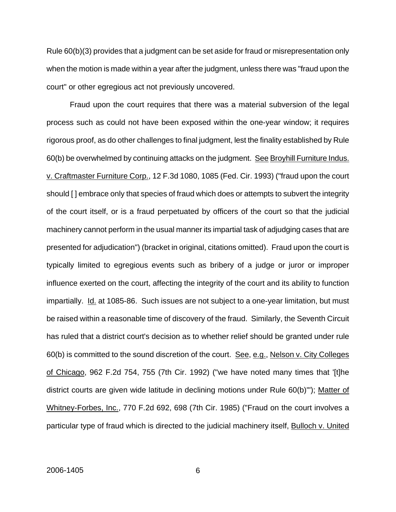Rule 60(b)(3) provides that a judgment can be set aside for fraud or misrepresentation only when the motion is made within a year after the judgment, unless there was "fraud upon the court" or other egregious act not previously uncovered.

Fraud upon the court requires that there was a material subversion of the legal process such as could not have been exposed within the one-year window; it requires rigorous proof, as do other challenges to final judgment, lest the finality established by Rule 60(b) be overwhelmed by continuing attacks on the judgment. See Broyhill Furniture Indus. v. Craftmaster Furniture Corp., 12 F.3d 1080, 1085 (Fed. Cir. 1993) ("fraud upon the court should [ ] embrace only that species of fraud which does or attempts to subvert the integrity of the court itself, or is a fraud perpetuated by officers of the court so that the judicial machinery cannot perform in the usual manner its impartial task of adjudging cases that are presented for adjudication") (bracket in original, citations omitted). Fraud upon the court is typically limited to egregious events such as bribery of a judge or juror or improper influence exerted on the court, affecting the integrity of the court and its ability to function impartially. Id. at 1085-86. Such issues are not subject to a one-year limitation, but must be raised within a reasonable time of discovery of the fraud. Similarly, the Seventh Circuit has ruled that a district court's decision as to whether relief should be granted under rule 60(b) is committed to the sound discretion of the court. See, e.g., Nelson v. City Colleges of Chicago, 962 F.2d 754, 755 (7th Cir. 1992) ("we have noted many times that '[t]he district courts are given wide latitude in declining motions under Rule 60(b)'"); Matter of Whitney-Forbes, Inc., 770 F.2d 692, 698 (7th Cir. 1985) ("Fraud on the court involves a particular type of fraud which is directed to the judicial machinery itself, **Bulloch v. United**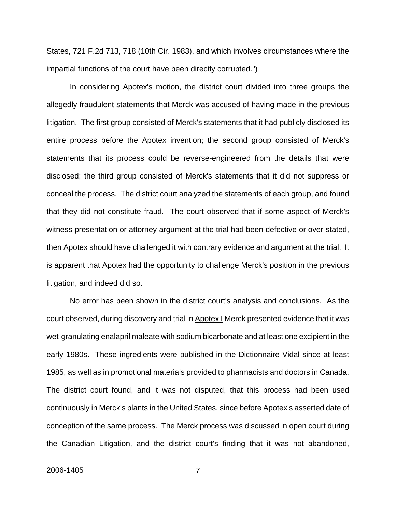States, 721 F.2d 713, 718 (10th Cir. 1983), and which involves circumstances where the impartial functions of the court have been directly corrupted.")

In considering Apotex's motion, the district court divided into three groups the allegedly fraudulent statements that Merck was accused of having made in the previous litigation. The first group consisted of Merck's statements that it had publicly disclosed its entire process before the Apotex invention; the second group consisted of Merck's statements that its process could be reverse-engineered from the details that were disclosed; the third group consisted of Merck's statements that it did not suppress or conceal the process. The district court analyzed the statements of each group, and found that they did not constitute fraud. The court observed that if some aspect of Merck's witness presentation or attorney argument at the trial had been defective or over-stated, then Apotex should have challenged it with contrary evidence and argument at the trial. It is apparent that Apotex had the opportunity to challenge Merck's position in the previous litigation, and indeed did so.

No error has been shown in the district court's analysis and conclusions. As the court observed, during discovery and trial in Apotex I Merck presented evidence that it was wet-granulating enalapril maleate with sodium bicarbonate and at least one excipient in the early 1980s. These ingredients were published in the Dictionnaire Vidal since at least 1985, as well as in promotional materials provided to pharmacists and doctors in Canada. The district court found, and it was not disputed, that this process had been used continuously in Merck's plants in the United States, since before Apotex's asserted date of conception of the same process. The Merck process was discussed in open court during the Canadian Litigation, and the district court's finding that it was not abandoned,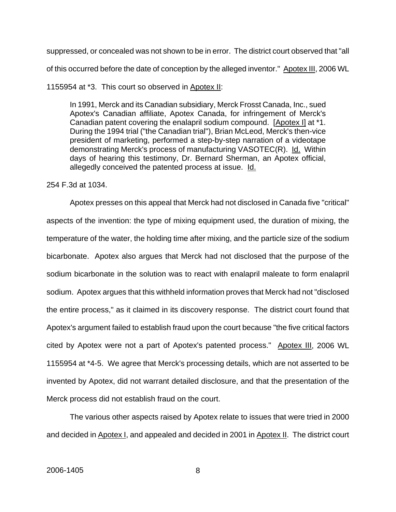suppressed, or concealed was not shown to be in error. The district court observed that "all of this occurred before the date of conception by the alleged inventor." Apotex III, 2006 WL

#### 1155954 at \*3. This court so observed in Apotex II:

In 1991, Merck and its Canadian subsidiary, Merck Frosst Canada, Inc., sued Apotex's Canadian affiliate, Apotex Canada, for infringement of Merck's Canadian patent covering the enalapril sodium compound. [Apotex I] at \*1. During the 1994 trial ("the Canadian trial"), Brian McLeod, Merck's then-vice president of marketing, performed a step-by-step narration of a videotape demonstrating Merck's process of manufacturing VASOTEC(R). Id. Within days of hearing this testimony, Dr. Bernard Sherman, an Apotex official, allegedly conceived the patented process at issue. Id.

#### 254 F.3d at 1034.

Apotex presses on this appeal that Merck had not disclosed in Canada five "critical" aspects of the invention: the type of mixing equipment used, the duration of mixing, the temperature of the water, the holding time after mixing, and the particle size of the sodium bicarbonate. Apotex also argues that Merck had not disclosed that the purpose of the sodium bicarbonate in the solution was to react with enalapril maleate to form enalapril sodium. Apotex argues that this withheld information proves that Merck had not "disclosed the entire process," as it claimed in its discovery response. The district court found that Apotex's argument failed to establish fraud upon the court because "the five critical factors cited by Apotex were not a part of Apotex's patented process." Apotex III, 2006 WL 1155954 at \*4-5. We agree that Merck's processing details, which are not asserted to be invented by Apotex, did not warrant detailed disclosure, and that the presentation of the Merck process did not establish fraud on the court.

The various other aspects raised by Apotex relate to issues that were tried in 2000 and decided in Apotex I, and appealed and decided in 2001 in Apotex II. The district court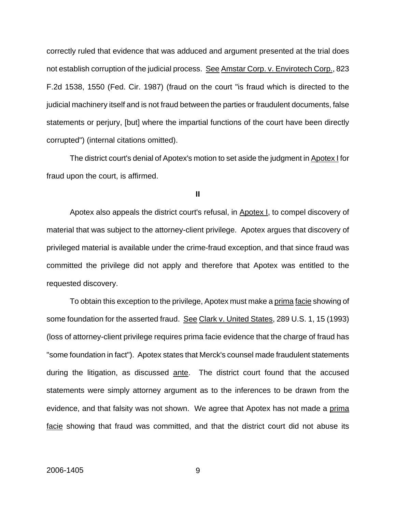correctly ruled that evidence that was adduced and argument presented at the trial does not establish corruption of the judicial process. See Amstar Corp. v. Envirotech Corp., 823 F.2d 1538, 1550 (Fed. Cir. 1987) (fraud on the court "is fraud which is directed to the judicial machinery itself and is not fraud between the parties or fraudulent documents, false statements or perjury, [but] where the impartial functions of the court have been directly corrupted") (internal citations omitted).

The district court's denial of Apotex's motion to set aside the judgment in Apotex I for fraud upon the court, is affirmed.

#### **II**

Apotex also appeals the district court's refusal, in Apotex I, to compel discovery of material that was subject to the attorney-client privilege. Apotex argues that discovery of privileged material is available under the crime-fraud exception, and that since fraud was committed the privilege did not apply and therefore that Apotex was entitled to the requested discovery.

To obtain this exception to the privilege, Apotex must make a prima facie showing of some foundation for the asserted fraud. See Clark v. United States, 289 U.S. 1, 15 (1993) (loss of attorney-client privilege requires prima facie evidence that the charge of fraud has "some foundation in fact"). Apotex states that Merck's counsel made fraudulent statements during the litigation, as discussed ante. The district court found that the accused statements were simply attorney argument as to the inferences to be drawn from the evidence, and that falsity was not shown. We agree that Apotex has not made a prima facie showing that fraud was committed, and that the district court did not abuse its